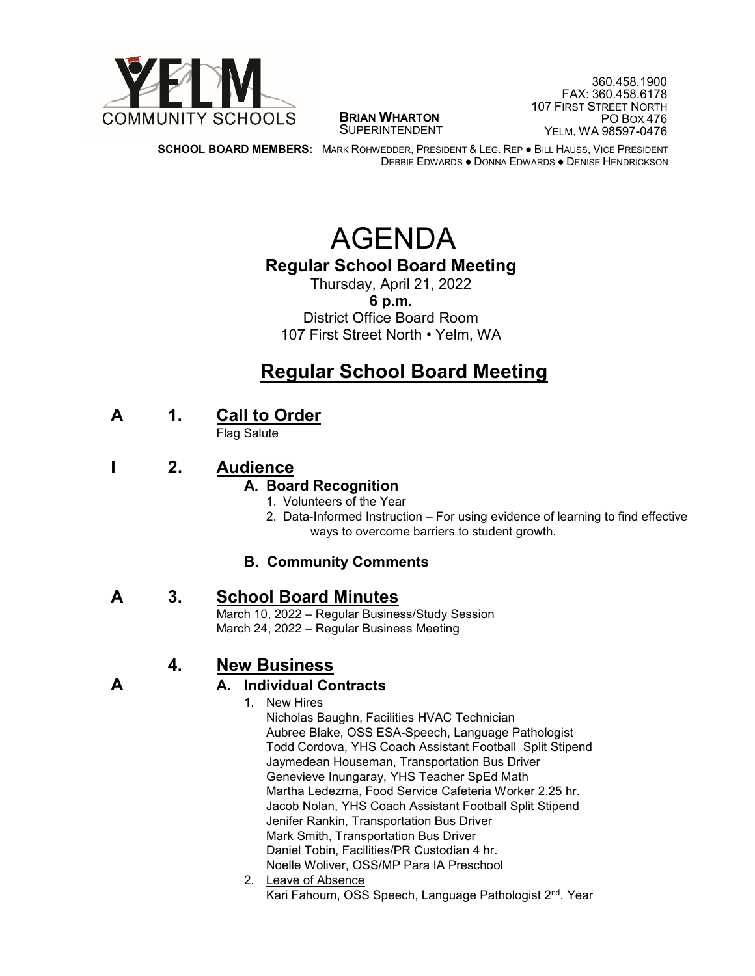

 $\overline{a}$ **BRIAN WHARTON** SUPERINTENDENT

**SCHOOL BOARD MEMBERS:** MARK ROHWEDDER, PRESIDENT & LEG. REP ● BILL HAUSS, VICE PRESIDENT DEBBIE EDWARDS ● DONNA EDWARDS ● DENISE HENDRICKSON

# AGENDA

## **Regular School Board Meeting**

Thursday, April 21, 2022 **6 p.m.** District Office Board Room 107 First Street North • Yelm, WA

## **Regular School Board Meeting**

**<sup>A</sup> 1. Call to Order** Flag Salute

**I 2. Audience**

### **A. Board Recognition**

- 1. Volunteers of the Year
- 2. Data-Informed Instruction For using evidence of learning to find effective ways to overcome barriers to student growth.

### **B. Community Comments**

## **A** 3. **School Board Minutes**<br>March 10, 2022 – Regular Business/Study Session

March 24, 2022 – Regular Business Meeting

## **4. New Business**

### **A A. Individual Contracts**

- 1. New Hires Nicholas Baughn, Facilities HVAC Technician Aubree Blake, OSS ESA-Speech, Language Pathologist Todd Cordova, YHS Coach Assistant Football Split Stipend Jaymedean Houseman, Transportation Bus Driver Genevieve Inungaray, YHS Teacher SpEd Math Martha Ledezma, Food Service Cafeteria Worker 2.25 hr. Jacob Nolan, YHS Coach Assistant Football Split Stipend Jenifer Rankin, Transportation Bus Driver Mark Smith, Transportation Bus Driver Daniel Tobin, Facilities/PR Custodian 4 hr. Noelle Woliver, OSS/MP Para IA Preschool
- 2. Leave of Absence Kari Fahoum, OSS Speech, Language Pathologist 2<sup>nd</sup>. Year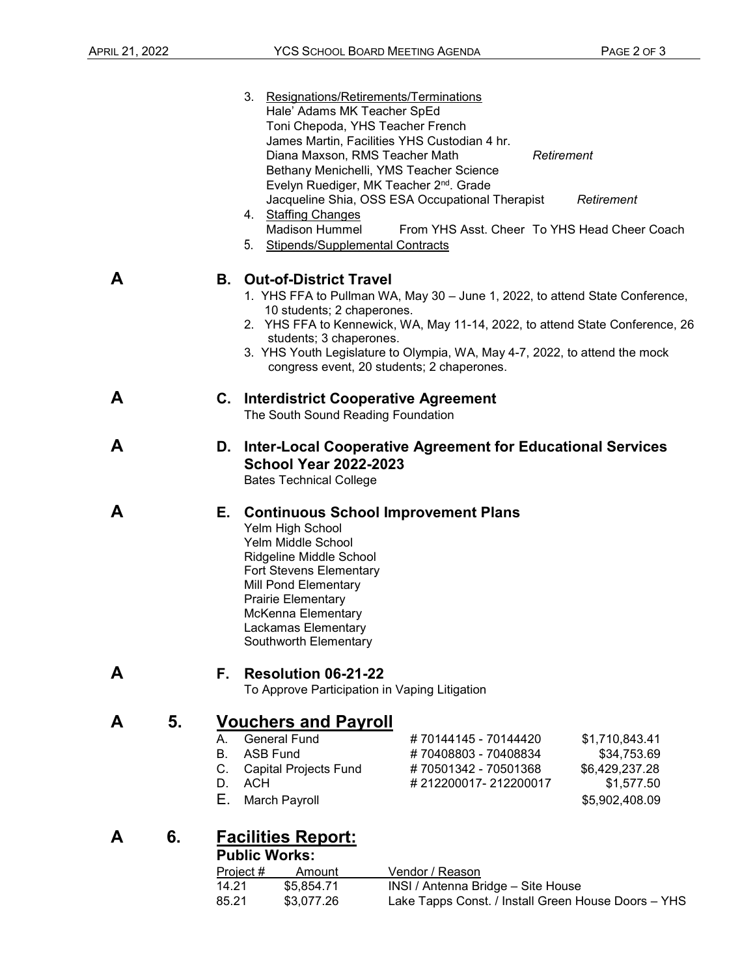|   |                                         | 3. Resignations/Retirements/Terminations<br>Hale' Adams MK Teacher SpEd<br>Toni Chepoda, YHS Teacher French<br>James Martin, Facilities YHS Custodian 4 hr.<br>Diana Maxson, RMS Teacher Math<br>Bethany Menichelli, YMS Teacher Science<br>Evelyn Ruediger, MK Teacher 2 <sup>nd</sup> . Grade                                                                                       |                                                                                              | Retirement                                                                      |
|---|-----------------------------------------|---------------------------------------------------------------------------------------------------------------------------------------------------------------------------------------------------------------------------------------------------------------------------------------------------------------------------------------------------------------------------------------|----------------------------------------------------------------------------------------------|---------------------------------------------------------------------------------|
|   |                                         | Jacqueline Shia, OSS ESA Occupational Therapist<br>4. Staffing Changes<br><b>Madison Hummel</b><br>5.<br>Stipends/Supplemental Contracts                                                                                                                                                                                                                                              |                                                                                              | Retirement<br>From YHS Asst. Cheer To YHS Head Cheer Coach                      |
| A |                                         | <b>B.</b> Out-of-District Travel<br>1. YHS FFA to Pullman WA, May 30 - June 1, 2022, to attend State Conference,<br>10 students; 2 chaperones.<br>2. YHS FFA to Kennewick, WA, May 11-14, 2022, to attend State Conference, 26<br>students; 3 chaperones.<br>3. YHS Youth Legislature to Olympia, WA, May 4-7, 2022, to attend the mock<br>congress event, 20 students; 2 chaperones. |                                                                                              |                                                                                 |
| A |                                         | <b>C.</b> Interdistrict Cooperative Agreement<br>The South Sound Reading Foundation                                                                                                                                                                                                                                                                                                   |                                                                                              |                                                                                 |
| A |                                         | D. Inter-Local Cooperative Agreement for Educational Services<br><b>School Year 2022-2023</b><br><b>Bates Technical College</b>                                                                                                                                                                                                                                                       |                                                                                              |                                                                                 |
| A |                                         | E. Continuous School Improvement Plans<br>Yelm High School<br>Yelm Middle School<br>Ridgeline Middle School<br><b>Fort Stevens Elementary</b><br>Mill Pond Elementary<br>Prairie Elementary<br>McKenna Elementary<br>Lackamas Elementary<br>Southworth Elementary                                                                                                                     |                                                                                              |                                                                                 |
| A | Е.                                      | Resolution 06-21-22<br>To Approve Participation in Vaping Litigation                                                                                                                                                                                                                                                                                                                  |                                                                                              |                                                                                 |
| A | 5.<br>А.<br><b>B.</b><br>C.<br>D.<br>Е. | <b>Vouchers and Payroll</b><br><b>General Fund</b><br><b>ASB Fund</b><br><b>Capital Projects Fund</b><br><b>ACH</b><br>March Payroll                                                                                                                                                                                                                                                  | #70144145 - 70144420<br>#70408803 - 70408834<br>#70501342 - 70501368<br>#212200017-212200017 | \$1,710,843.41<br>\$34,753.69<br>\$6,429,237.28<br>\$1,577.50<br>\$5,902,408.09 |

## **A 6. Facilities Report:**

#### **Public Works:**

| Project # | Amount     | Vendor / Reason                                     |  |
|-----------|------------|-----------------------------------------------------|--|
| 14.21     | \$5.854.71 | INSI / Antenna Bridge – Site House                  |  |
| 85.21     | \$3.077.26 | Lake Tapps Const. / Install Green House Doors - YHS |  |